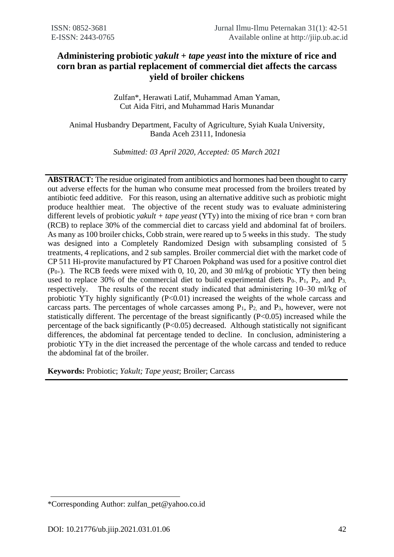# **Administering probiotic** *yakult* **+** *tape yeast* **into the mixture of rice and corn bran as partial replacement of commercial diet affects the carcass yield of broiler chickens**

Zulfan\*, Herawati Latif, Muhammad Aman Yaman, Cut Aida Fitri, and Muhammad Haris Munandar

Animal Husbandry Department, Faculty of Agriculture, Syiah Kuala University, Banda Aceh 23111, Indonesia

*Submitted: 03 April 2020, Accepted: 05 March 2021*

**ABSTRACT:** The residue originated from antibiotics and hormones had been thought to carry out adverse effects for the human who consume meat processed from the broilers treated by antibiotic feed additive. For this reason, using an alternative additive such as probiotic might produce healthier meat. The objective of the recent study was to evaluate administering different levels of probiotic *yakult + tape yeast* (YTy) into the mixing of rice bran + corn bran (RCB) to replace 30% of the commercial diet to carcass yield and abdominal fat of broilers. As many as 100 broiler chicks, Cobb strain, were reared up to 5 weeks in this study. The study was designed into a Completely Randomized Design with subsampling consisted of 5 treatments, 4 replications, and 2 sub samples. Broiler commercial diet with the market code of CP 511 Hi-provite manufactured by PT Charoen Pokphand was used for a positive control diet  $(P_{0+})$ . The RCB feeds were mixed with 0, 10, 20, and 30 ml/kg of probiotic YTy then being used to replace 30% of the commercial diet to build experimental diets  $P_0$ ,  $P_1$ ,  $P_2$ , and  $P_3$ , respectively. The results of the recent study indicated that administering 10–30 ml/kg of probiotic YTy highly significantly (P<0.01) increased the weights of the whole carcass and carcass parts. The percentages of whole carcasses among  $P_1$ ,  $P_2$ , and  $P_3$ , however, were not statistically different. The percentage of the breast significantly (P<0.05) increased while the percentage of the back significantly (P<0.05) decreased. Although statistically not significant differences, the abdominal fat percentage tended to decline. In conclusion, administering a probiotic YTy in the diet increased the percentage of the whole carcass and tended to reduce the abdominal fat of the broiler.

**Keywords:** Probiotic; *Yakult; Tape yeast*; Broiler; Carcass

<sup>\*</sup>Corresponding Author: zulfan\_pet@yahoo.co.id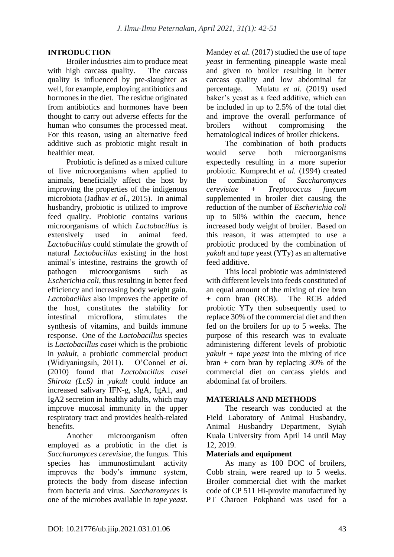## **INTRODUCTION**

Broiler industries aim to produce meat with high carcass quality. The carcass quality is influenced by pre-slaughter as well, for example, employing antibiotics and hormones in the diet. The residue originated from antibiotics and hormones have been thought to carry out adverse effects for the human who consumes the processed meat. For this reason, using an alternative feed additive such as probiotic might result in healthier meat.

Probiotic is defined as a mixed culture of live microorganisms when applied to animals, beneficially affect the host by improving the properties of the indigenous microbiota (Jadhav *et al*., 2015). In animal husbandry, probiotic is utilized to improve feed quality. Probiotic contains various microorganisms of which *Lactobacillus* is extensively used in animal feed. *Lactobacillus* could stimulate the growth of natural *Lactobacillus* existing in the host animal's intestine, restrains the growth of pathogen microorganisms such as *Escherichia coli,* thus resulting in better feed efficiency and increasing body weight gain. *Lactobacillus* also improves the appetite of the host, constitutes the stability for intestinal microflora, stimulates the synthesis of vitamins, and builds immune response. One of the *Lactobacillus* species is *Lactobacillus casei* which is the probiotic in *yakult,* a probiotic commercial product (Widiyaningsih, 2011). O'Connel *et al*. (2010) found that *Lactobacillus casei Shirota (LcS)* in *yakult* could induce an increased salivary IFN-g, sIgA, IgA1, and IgA2 secretion in healthy adults, which may improve mucosal immunity in the upper respiratory tract and provides health-related benefits.

Another microorganism often employed as a probiotic in the diet is *Saccharomyces cerevisiae,* the fungus. This species has immunostimulant activity improves the body's immune system, protects the body from disease infection from bacteria and virus. *Saccharomyces* is one of the microbes available in *tape yeast.* Mandey *et al.* (2017) studied the use of *tape yeast* in fermenting pineapple waste meal and given to broiler resulting in better carcass quality and low abdominal fat percentage. Mulatu *et al.* (2019) used baker's yeast as a feed additive, which can be included in up to 2.5% of the total diet and improve the overall performance of broilers without compromising the hematological indices of broiler chickens.

The combination of both products would serve both microorganisms expectedly resulting in a more superior probiotic. Kumprecht *et al.* (1994) created the combination of *Saccharomyces cerevisiae + Treptococcus faecum*  supplemented in broiler diet causing the reduction of the number of *Escherichia coli*  up to 50% within the caecum, hence increased body weight of broiler. Based on this reason, it was attempted to use a probiotic produced by the combination of *yakult* and *tape* yeast (YTy) as an alternative feed additive.

This local probiotic was administered with different levels into feeds constituted of an equal amount of the mixing of rice bran + corn bran (RCB). The RCB added probiotic YTy then subsequently used to replace 30% of the commercial diet and then fed on the broilers for up to 5 weeks. The purpose of this research was to evaluate administering different levels of probiotic *yakult + tape yeast* into the mixing of rice  $\text{tran} + \text{corn}$  bran by replacing 30% of the commercial diet on carcass yields and abdominal fat of broilers.

## **MATERIALS AND METHODS**

The research was conducted at the Field Laboratory of Animal Husbandry, Animal Husbandry Department, Syiah Kuala University from April 14 until May 12, 2019.

## **Materials and equipment**

As many as 100 DOC of broilers, Cobb strain, were reared up to 5 weeks. Broiler commercial diet with the market code of CP 511 Hi-provite manufactured by PT Charoen Pokphand was used for a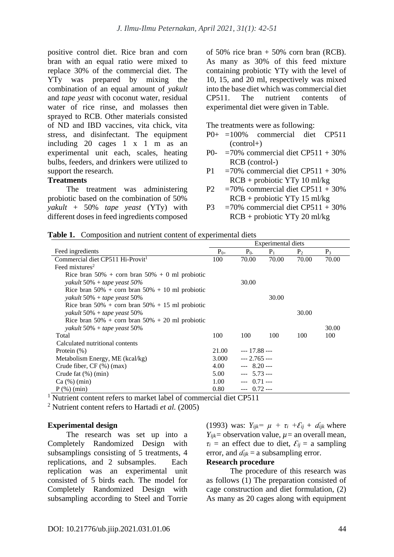positive control diet. Rice bran and corn bran with an equal ratio were mixed to replace 30% of the commercial diet. The YTy was prepared by mixing the combination of an equal amount of *yakult* and *tape yeast* with coconut water, residual water of rice rinse, and molasses then sprayed to RCB. Other materials consisted of ND and IBD vaccines, vita chick, vita stress, and disinfectant. The equipment including 20 cages 1 x 1 m as an experimental unit each, scales, heating bulbs, feeders, and drinkers were utilized to support the research.

## **Treatments**

The treatment was administering probiotic based on the combination of 50% *yakult* + 50% *tape yeast* (YTy) with different doses in feed ingredients composed

of 50% rice bran  $+$  50% corn bran (RCB). As many as 30% of this feed mixture containing probiotic YTy with the level of 10, 15, and 20 ml, respectively was mixed into the base diet which was commercial diet CP511. The nutrient contents of experimental diet were given in Table.

The treatments were as following:

- P0+ =100% commercial diet CP511  $(control+)$
- P0-  $=70\%$  commercial diet CP511 + 30% RCB (control-)
- P1 =  $70\%$  commercial diet CP511 + 30% RCB + probiotic YTy 10 ml/kg
- P2 =70% commercial diet  $CP511 + 30%$ RCB + probiotic YTy 15 ml/kg
- P3 =  $70\%$  commercial diet CP511 + 30% RCB + probiotic YTy 20 ml/kg

|  |  | Table 1. Composition and nutrient content of experimental diets |
|--|--|-----------------------------------------------------------------|
|  |  |                                                                 |

|                                                       | Experimental diets |                |       |                |       |
|-------------------------------------------------------|--------------------|----------------|-------|----------------|-------|
| Feed ingredients                                      | $P_{0+}$           | $P_{0}$        | $P_1$ | P <sub>2</sub> | $P_3$ |
| Commercial diet CP511 Hi-Provit <sup>1</sup>          | 100                | 70.00          | 70.00 | 70.00          | 70.00 |
| Feed mixtures <sup>2</sup>                            |                    |                |       |                |       |
| Rice bran $50\%$ + corn bran $50\%$ + 0 ml probiotic  |                    |                |       |                |       |
| yakult 50% + tape yeast 50%                           |                    | 30.00          |       |                |       |
| Rice bran $50\%$ + corn bran $50\%$ + 10 ml probiotic |                    |                |       |                |       |
| yakult 50% + tape yeast 50%                           |                    |                | 30.00 |                |       |
| Rice bran $50\%$ + corn bran $50\%$ + 15 ml probiotic |                    |                |       |                |       |
| yakult 50% + tape yeast 50%                           |                    |                |       | 30.00          |       |
| Rice bran $50\%$ + corn bran $50\%$ + 20 ml probiotic |                    |                |       |                |       |
| yakult 50% + tape yeast 50%                           |                    |                |       |                | 30.00 |
| Total                                                 | 100                | 100            | 100   | 100            | 100   |
| Calculated nutritional contents                       |                    |                |       |                |       |
| Protein $(\%)$                                        |                    | $-- 17.88 --$  |       |                |       |
| Metabolism Energy, ME (kcal/kg)                       |                    | $-- 2.765 --$  |       |                |       |
| Crude fiber, $CF$ $(\%)$ (max)                        |                    | $- - 8.20 - -$ |       |                |       |
| Crude fat $(\%)$ (min)                                |                    | $-- 5.73 --$   |       |                |       |
| Ca (%) (min)                                          |                    | $--- 0.71---$  |       |                |       |
| $P$ (%) (min)                                         | 0.80               | $--- 0.72---$  |       |                |       |

<sup>1</sup> Nutrient content refers to market label of commercial diet CP511

<sup>2</sup> Nutrient content refers to Hartadi *et al.* (2005)

#### **Experimental design**

The research was set up into a Completely Randomized Design with subsamplings consisting of 5 treatments, 4 replications, and 2 subsamples. Each replication was an experimental unit consisted of 5 birds each. The model for Completely Randomized Design with subsampling according to Steel and Torrie

(1993) was:  $Y_{ijk} = \mu + \tau_i + \mathcal{E}_{ij} + d_{ijk}$  where *Y*<sub>ijk</sub> = observation value,  $\mu$  = an overall mean,  $\tau_i$  = an effect due to diet,  $\mathcal{E}_{ij}$  = a sampling error, and  $d_{ijk} = a$  subsampling error.

# **Research procedure**

The procedure of this research was as follows (1) The preparation consisted of cage construction and diet formulation, (2) As many as 20 cages along with equipment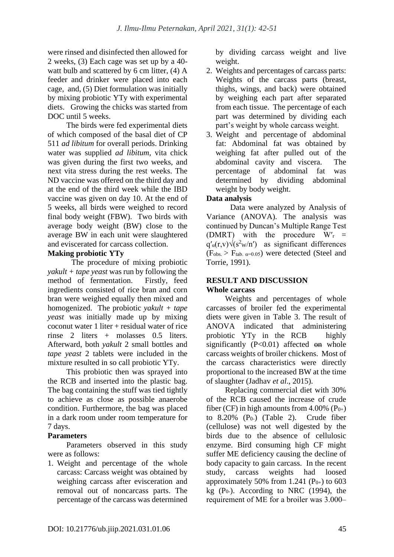were rinsed and disinfected then allowed for 2 weeks, (3) Each cage was set up by a 40 watt bulb and scattered by 6 cm litter, (4) A feeder and drinker were placed into each cage, and, (5) Diet formulation was initially by mixing probiotic YTy with experimental diets. Growing the chicks was started from DOC until 5 weeks.

The birds were fed experimental diets of which composed of the basal diet of CP 511 *ad libitum* for overall periods. Drinking water was supplied *ad libitum,* vita chick was given during the first two weeks, and next vita stress during the rest weeks. The ND vaccine was offered on the third day and at the end of the third week while the IBD vaccine was given on day 10. At the end of 5 weeks, all birds were weighed to record final body weight (FBW). Two birds with average body weight (BW) close to the average BW in each unit were slaughtered and eviscerated for carcass collection.

## **Making probiotic YTy**

The procedure of mixing probiotic *yakult + tape yeast* was run by following the method of fermentation. Firstly, feed ingredients consisted of rice bran and corn bran were weighed equally then mixed and homogenized. The probiotic *yakult + tape yeast* was initially made up by mixing coconut water 1 liter + residual water of rice rinse 2 liters + molasses 0.5 liters. Afterward, both *yakult* 2 small bottles and *tape yeast* 2 tablets were included in the mixture resulted in so call probiotic YTy.

This probiotic then was sprayed into the RCB and inserted into the plastic bag. The bag containing the stuff was tied tightly to achieve as close as possible anaerobe condition. Furthermore, the bag was placed in a dark room under room temperature for 7 days.

## **Parameters**

Parameters observed in this study were as follows:

1. Weight and percentage of the whole carcass: Carcass weight was obtained by weighing carcass after evisceration and removal out of noncarcass parts. The percentage of the carcass was determined by dividing carcass weight and live weight.

- 2. Weights and percentages of carcass parts: Weights of the carcass parts (breast, thighs, wings, and back) were obtained by weighing each part after separated from each tissue. The percentage of each part was determined by dividing each part's weight by whole carcass weight.
- 3. Weight and percentage of abdominal fat: Abdominal fat was obtained by weighing fat after pulled out of the abdominal cavity and viscera. The percentage of abdominal fat was determined by dividing abdominal weight by body weight.

# **Data analysis**

Data were analyzed by Analysis of Variance (ANOVA). The analysis was continued by Duncan's Multiple Range Test (DMRT) with the procedure  $W'_r$  =  $q'_a(r,v)\sqrt{s^2w/n'}$  as significant differences  $(F<sub>obs.</sub> > F<sub>tab. α=0.05</sub>)$  were detected (Steel and Torrie, 1991).

## **RESULT AND DISCUSSION Whole carcass**

Weights and percentages of whole carcasses of broiler fed the experimental diets were given in Table 3. The result of ANOVA indicated that administering probiotic YTy in the RCB highly significantly  $(P<0.01)$  affected on whole carcass weights of broiler chickens. Most of the carcass characteristics were directly proportional to the increased BW at the time of slaughter (Jadhav *et al*., 2015).

Replacing commercial diet with 30% of the RCB caused the increase of crude fiber (CF) in high amounts from 4.00%  $(P_{0+})$ to  $8.20\%$  (P<sub>0</sub>-) (Table 2). Crude fiber (cellulose) was not well digested by the birds due to the absence of cellulosic enzyme. Bird consuming high CF might suffer ME deficiency causing the decline of body capacity to gain carcass. In the recent study, carcass weights had loosed approximately 50% from 1.241 ( $P_{0+}$ ) to 603 kg  $(P_0)$ . According to NRC  $(1994)$ , the requirement of ME for a broiler was  $3.000-$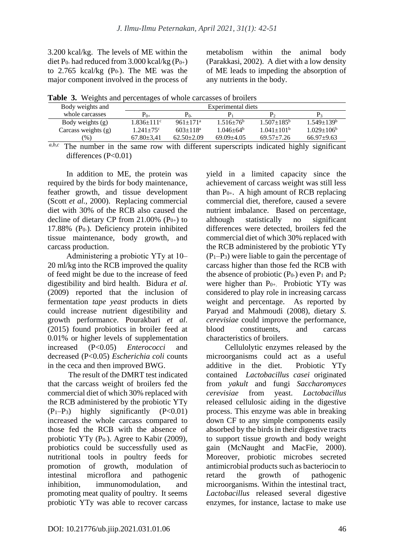3.200 kcal/kg. The levels of ME within the diet P<sub>0</sub>- had reduced from  $3.000$  kcal/kg (P<sub>0+</sub>) to  $2.765$  kcal/kg (P<sub>0</sub>-). The ME was the major component involved in the process of metabolism within the animal body (Parakkasi, 2002). A diet with a low density of ME leads to impeding the absorption of any nutrients in the body.

|  | Table 3. Weights and percentages of whole carcasses of broilers |  |  |
|--|-----------------------------------------------------------------|--|--|
|  |                                                                 |  |  |

| $P_{0+}$          | Р٥.                      |                             |                | P.                |
|-------------------|--------------------------|-----------------------------|----------------|-------------------|
| $1.836 \pm 111$ ° | $961+171^a$              | $1.516 \pm 76$ <sup>b</sup> | $1.507+185b$   | $1.549 \pm 139^b$ |
| $1.241 + 75$ °    | $603 + 118$ <sup>a</sup> | $1.046 + 64^b$              | $1.041 + 101b$ | $1.029 \pm 106^b$ |
| $67.80 \pm 3.41$  | $62.50 + 2.09$           | $69.09 + 4.05$              | $69.57 + 7.26$ | $66.97+9.63$      |
|                   |                          |                             |                |                   |

*a,b,c* The number in the same row with different superscripts indicated highly significant differences  $(P<0.01)$ 

In addition to ME, the protein was required by the birds for body maintenance, feather growth, and tissue development (Scott *et al.,* 2000). Replacing commercial diet with 30% of the RCB also caused the decline of dietary CP from 21.00%  $(P_{0+})$  to 17.88%  $(P_0)$ . Deficiency protein inhibited tissue maintenance, body growth, and carcass production.

Administering a probiotic YTy at 10– 20 ml/kg into the RCB improved the quality of feed might be due to the increase of feed digestibility and bird health. Bidura *et al.*  (2009) reported that the inclusion of fermentation *tape yeast* products in diets could increase nutrient digestibility and growth performance. Pourakbari *et al*. (2015) found probiotics in broiler feed at 0.01% or higher levels of supplementation increased (P<0.05) *Enterococci* and decreased (P<0.05) *Escherichia coli* counts in the ceca and then improved BWG.

The result of the DMRT test indicated that the carcass weight of broilers fed the commercial diet of which 30% replaced with the RCB administered by the probiotic YTy  $(P_1-P_3)$  highly significantly  $(P<0.01)$ increased the whole carcass compared to those fed the RCB with the absence of probiotic YTy  $(P_0)$ . Agree to Kabir (2009), probiotics could be successfully used as nutritional tools in poultry feeds for promotion of growth, modulation of intestinal microflora and pathogenic inhibition, immunomodulation, and promoting meat quality of poultry. It seems probiotic YTy was able to recover carcass yield in a limited capacity since the achievement of carcass weight was still less than  $P_{0+}$ . A high amount of RCB replacing commercial diet, therefore, caused a severe nutrient imbalance. Based on percentage, although statistically no significant differences were detected, broilers fed the commercial diet of which 30% replaced with the RCB administered by the probiotic YTy  $(P_1-P_3)$  were liable to gain the percentage of carcass higher than those fed the RCB with the absence of probiotic  $(P_0)$  even  $P_1$  and  $P_2$ were higher than  $P_{0+}$ . Probiotic YTy was considered to play role in increasing carcass weight and percentage. As reported by Paryad and Mahmoudi (2008), dietary *S. cerevisiae* could improve the performance, blood constituents, and carcass characteristics of broilers.

Cellulolytic enzymes released by the microorganisms could act as a useful additive in the diet. Probiotic YTy contained *Lactobacillus casei* originated from *yakult* and fungi *Saccharomyces cerevisiae* from yeast. *Lactobacillus*  released cellulosic aiding in the digestive process. This enzyme was able in breaking down CF to any simple components easily absorbed by the birds in their digestive tracts to support tissue growth and body weight gain (McNaught and MacFie, 2000). Moreover, probiotic microbes secreted antimicrobial products such as bacteriocin to retard the growth of pathogenic microorganisms. Within the intestinal tract, *Lactobacillus* released several digestive enzymes, for instance, lactase to make use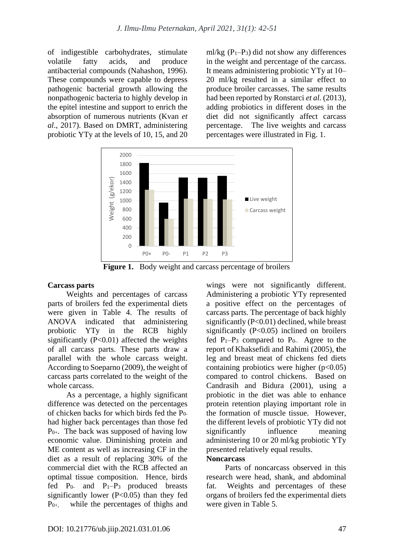of indigestible carbohydrates, stimulate volatile fatty acids, and produce antibacterial compounds (Nahashon, 1996). These compounds were capable to depress pathogenic bacterial growth allowing the nonpathogenic bacteria to highly develop in the epitel intestine and support to enrich the absorption of numerous nutrients (Kvan *et al*., 2017). Based on DMRT, administering probiotic YTy at the levels of 10, 15, and 20 ml/kg  $(P_1-P_3)$  did not show any differences in the weight and percentage of the carcass. It means administering probiotic YTy at 10– 20 ml/kg resulted in a similar effect to produce broiler carcasses. The same results had been reported by Ronstarci *et al.* (2013), adding probiotics in different doses in the diet did not significantly affect carcass percentage. The live weights and carcass percentages were illustrated in Fig. 1.



**Figure 1.** Body weight and carcass percentage of broilers

## **Carcass parts**

Weights and percentages of carcass parts of broilers fed the experimental diets were given in Table 4. The results of ANOVA indicated that administering probiotic YTy in the RCB highly significantly  $(P<0.01)$  affected the weights of all carcass parts. These parts draw a parallel with the whole carcass weight. According to Soeparno (2009), the weight of carcass parts correlated to the weight of the whole carcass.

As a percentage, a highly significant difference was detected on the percentages of chicken backs for which birds fed the P0 had higher back percentages than those fed  $P_{0+}$ . The back was supposed of having low economic value. Diminishing protein and ME content as well as increasing CF in the diet as a result of replacing 30% of the commercial diet with the RCB affected an optimal tissue composition. Hence, birds fed  $P_0$ - and  $P_1-P_3$  produced breasts significantly lower  $(P<0.05)$  than they fed  $P_{0+}$ , while the percentages of thighs and wings were not significantly different. Administering a probiotic YTy represented a positive effect on the percentages of carcass parts. The percentage of back highly significantly (P<0.01) declined, while breast significantly (P<0.05) inclined on broilers fed  $P_1-P_3$  compared to  $P_0$ . Agree to the report of Khaksefidi and Rahimi (2005), **t**he leg and breast meat of chickens fed diets containing probiotics were higher  $(p<0.05)$ compared to control chickens. Based on Candrasih and Bidura (2001), using a probiotic in the diet was able to enhance protein retention playing important role in the formation of muscle tissue. However, the different levels of probiotic YTy did not significantly influence meaning administering 10 or 20 ml/kg probiotic YTy presented relatively equal results.

#### **Noncarcass**

Parts of noncarcass observed in this research were head, shank, and abdominal fat. Weights and percentages of these organs of broilers fed the experimental diets were given in Table 5.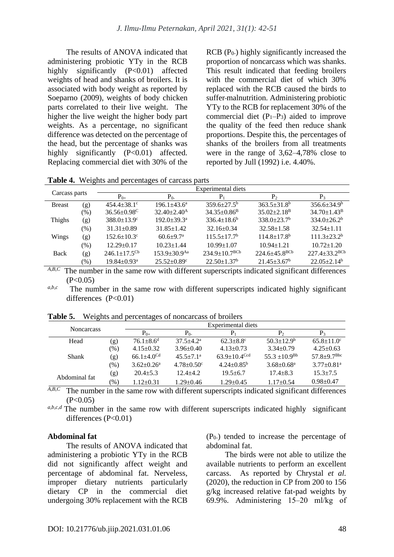The results of ANOVA indicated that administering probiotic YTy in the RCB highly significantly (P<0.01) affected weights of head and shanks of broilers. It is associated with body weight as reported by Soeparno (2009), weights of body chicken parts correlated to their live weight. The higher the live weight the higher body part weights. As a percentage, no significant difference was detected on the percentage of the head, but the percentage of shanks was highly significantly  $(P<0.01)$  affected. Replacing commercial diet with 30% of the

RCB (P<sub>0</sub>-) highly significantly increased the proportion of noncarcass which was shanks. This result indicated that feeding broilers with the commercial diet of which 30% replaced with the RCB caused the birds to suffer malnutrition. Administering probiotic YTy to the RCB for replacement 30% of the commercial diet  $(P_1-P_3)$  aided to improve the quality of the feed then reduce shank proportions. Despite this, the percentages of shanks of the broilers from all treatments were in the range of  $3.62-4.78\%$  close to reported by Jull (1992) i.e. 4.40%.

**Table 4.** Weights and percentages of carcass parts

| Carcass parts |        | Experimental diets            |                               |                                 |                               |                               |  |  |  |
|---------------|--------|-------------------------------|-------------------------------|---------------------------------|-------------------------------|-------------------------------|--|--|--|
|               |        | $P_{0+}$                      | $P_{0}$                       | $P_1$                           | P <sub>2</sub>                | $P_3$                         |  |  |  |
| <b>Breast</b> | (g)    | $454.4 \pm 38.1$ °            | $196.1 \pm 43.6^a$            | $359.6 \pm 27.5^{\circ}$        | $363.5 + 31.8b$               | $356.6 \pm 34.9^b$            |  |  |  |
|               | $(\%)$ | $36.56 \pm 0.98$ <sup>C</sup> | $32.40 \pm 2.40^{\mathrm{A}}$ | $34.35 \pm 0.86$ <sup>B</sup>   | $35.02 \pm 2.18$ <sup>B</sup> | $34.70 \pm 1.43^{\rm B}$      |  |  |  |
| Thighs        | (g)    | $388.0 \pm 13.9$ <sup>c</sup> | $192.0 \pm 39.3^{\text{a}}$   | $336.4 \pm 18.6^b$              | $338.0+23.7b$                 | $334.0 \pm 26.2^b$            |  |  |  |
|               | (% )   | $31.31 \pm 0.89$              | $31.85 \pm 1.42$              | $32.16 \pm 0.34$                | $32.58 \pm 1.58$              | $32.54 \pm 1.11$              |  |  |  |
| Wings         | (g)    | $152.6 \pm 10.3$ <sup>c</sup> | $60.6 + 9.7$ <sup>a</sup>     | $115.5 \pm 17.7^{\rm b}$        | $114.8 \pm 17.8$ <sup>b</sup> | $111.3 + 23.2^b$              |  |  |  |
|               | $(\%)$ | $12.29 \pm 0.17$              | $10.23 \pm 1.44$              | $10.99 \pm 1.07$                | $10.94 \pm 1.21$              | $10.72 \pm 1.20$              |  |  |  |
| Back          | (g)    | $246.1 \pm 17.5^{\rm cb}$     | $153.9 + 30.9$ <sup>Aa</sup>  | $234.9 \pm 10.7$ <sup>BCb</sup> | $224.6 + 45.8^{BCb}$          | $227.4 \pm 33.2^{\text{BCb}}$ |  |  |  |
|               | $(\%)$ | $19.84 \pm 0.93$ <sup>a</sup> | $25.52 \pm 0.89$ <sup>c</sup> | $22.50 \pm 1.37^b$              | $21.45 \pm 3.67^b$            | $22.05 \pm 2.14^b$            |  |  |  |
| AD<br>$\sim$  |        |                               |                               |                                 |                               |                               |  |  |  |

A,B,C The number in the same row with different superscripts indicated significant differences  $(P<0.05)$ 

*a,b,c* The number in the same row with different superscripts indicated highly significant differences  $(P<0.01)$ 

| <b>Noncarcass</b> |        |                              |                              | Experimental diets           |                         |                               |
|-------------------|--------|------------------------------|------------------------------|------------------------------|-------------------------|-------------------------------|
|                   |        | $P_{0+}$                     | $P_{0-}$                     | P                            | P <sub>2</sub>          | $P_3$                         |
| Head              | (g)    | $76.1 + 8.6^d$               | $37.5 + 4.2^a$               | $62.3 + 8.8$ °               | $50.3 \pm 12.9^{\rm b}$ | $65.8 \pm 11.0^{\circ}$       |
|                   | $(\%)$ | $4.15 \pm 0.32$              | $3.96 \pm 0.40$              | $4.13 \pm 0.73$              | $3.34 \pm 0.79$         | $4.25 \pm 0.63$               |
| <b>Shank</b>      | (g)    | $66.1 \pm 4.0$ <sup>Cd</sup> | $45.5 \pm 7.1^{\circ}$       | $63.9 + 10.4$ <sup>Ccd</sup> | $55.3 \pm 10.9^{Bb}$    | $57.8 \pm 9.7$ <sup>Bbc</sup> |
|                   | $(\%)$ | $3.62 \pm 0.26$ <sup>a</sup> | $4.78 \pm 0.50$ <sup>c</sup> | $4.24 \pm 0.85^{\rm b}$      | $3.68 \pm 0.68^a$       | $3.77+0.81a$                  |
| Abdominal fat     | (g)    | $20.4 + 5.3$                 | $12.4 + 4.2$                 | $19.5 + 6.7$                 | $17.4 + 8.3$            | $15.3 + 7.5$                  |
|                   | $(\%)$ | $1.12 \pm 0.31$              | $1.29 \pm 0.46$              | $1.29 \pm 0.45$              | $1.17 \pm 0.54$         | $0.98 + 0.47$                 |

**Table 5.** Weights and percentages of noncarcass of broilers

A,B,C The number in the same row with different superscripts indicated significant differences  $(P<0.05)$ 

*a,b,c,d* The number in the same row with different superscripts indicated highly significant differences (P<0.01)

#### **Abdominal fat**

The results of ANOVA indicated that administering a probiotic YTy in the RCB did not significantly affect weight and percentage of abdominal fat. Nerveless, improper dietary nutrients particularly dietary CP in the commercial diet undergoing 30% replacement with the RCB

(P0-) tended to increase the percentage of abdominal fat.

The birds were not able to utilize the available nutrients to perform an excellent carcass. As reported by Chrystal *et al.* (2020), the reduction in CP from 200 to 156 g/kg increased relative fat-pad weights by 69.9%. Administering 15‒20 ml/kg of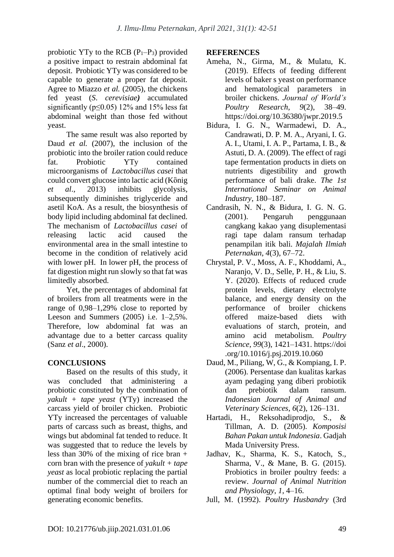probiotic YTy to the RCB  $(P_1-P_3)$  provided a positive impact to restrain abdominal fat deposit. Probiotic YTy was considered to be capable to generate a proper fat deposit. Agree to Miazzo *et al.* (2005), the chickens fed yeast (*S*. *cerevisiae)* accumulated significantly ( $p$ <0.05) 12% and 15% less fat abdominal weight than those fed without yeast.

The same result was also reported by Daud *et al.* (2007), the inclusion of the probiotic into the broiler ration could reduce fat. Probiotic YTy contained microorganisms of *Lactobacillus casei* that could convert glucose into lactic acid (Kὂnig *et al*., 2013) inhibits glycolysis, subsequently diminishes triglyceride and asetil KoA. As a result, the biosynthesis of body lipid including abdominal fat declined. The mechanism of *Lactobacillus casei* of releasing lactic acid caused the environmental area in the small intestine to become in the condition of relatively acid with lower pH. In lower pH, the process of fat digestion might run slowly so that fat was limitedly absorbed.

Yet, the percentages of abdominal fat of broilers from all treatments were in the range of  $0.98-1.29\%$  close to reported by Leeson and Summers  $(2005)$  i.e.  $1-2.5\%$ . Therefore, low abdominal fat was an advantage due to a better carcass quality (Sanz *et al*., 2000).

# **CONCLUSIONS**

Based on the results of this study, it was concluded that administering a probiotic constituted by the combination of *yakult + tape yeast* (YTy) increased the carcass yield of broiler chicken. Probiotic YTy increased the percentages of valuable parts of carcass such as breast, thighs, and wings but abdominal fat tended to reduce. It was suggested that to reduce the levels by less than 30% of the mixing of rice bran + corn bran with the presence of *yakult + tape yeast* as local probiotic replacing the partial number of the commercial diet to reach an optimal final body weight of broilers for generating economic benefits.

## **REFERENCES**

- Ameha, N., Girma, M., & Mulatu, K. (2019). Effects of feeding different levels of baker s yeast on performance and hematological parameters in broiler chickens. *Journal of World's Poultry Research*, *9*(2), 38–49. https://doi.org/10.36380/jwpr.2019.5
- Bidura, I. G. N., Warmadewi, D. A., Candrawati, D. P. M. A., Aryani, I. G. A. I., Utami, I. A. P., Partama, I. B., & Astuti, D. A. (2009). The effect of ragi tape fermentation products in diets on nutrients digestibility and growth performance of bali drake. *The 1st International Seminar on Animal Industry*, 180–187.
- Candrasih, N. N., & Bidura, I. G. N. G. (2001). Pengaruh penggunaan cangkang kakao yang disuplementasi ragi tape dalam ransum terhadap penampilan itik bali. *Majalah Ilmiah Peternakan*, *4*(3), 67–72.
- Chrystal, P. V., Moss, A. F., Khoddami, A., Naranjo, V. D., Selle, P. H., & Liu, S. Y. (2020). Effects of reduced crude protein levels, dietary electrolyte balance, and energy density on the performance of broiler chickens offered maize-based diets with evaluations of starch, protein, and amino acid metabolism. *Poultry Science*, *99*(3), 1421–1431. https://doi .org/10.1016/j.psj.2019.10.060
- Daud, M., Piliang, W, G., & Kompiang, I. P. (2006). Persentase dan kualitas karkas ayam pedaging yang diberi probiotik dan prebiotik dalam ransum. *Indonesian Journal of Animal and Veterinary Sciences*, *6*(2), 126–131.
- Hartadi, H., Reksohadiprodjo, S., & Tillman, A. D. (2005). *Komposisi Bahan Pakan untuk Indonesia*. Gadjah Mada University Press.
- Jadhav, K., Sharma, K. S., Katoch, S., Sharma, V., & Mane, B. G. (2015). Probiotics in broiler poultry feeds: a review. *Journal of Animal Nutrition and Physiology*, *1*, 4–16.
- Jull, M. (1992). *Poultry Husbandry* (3rd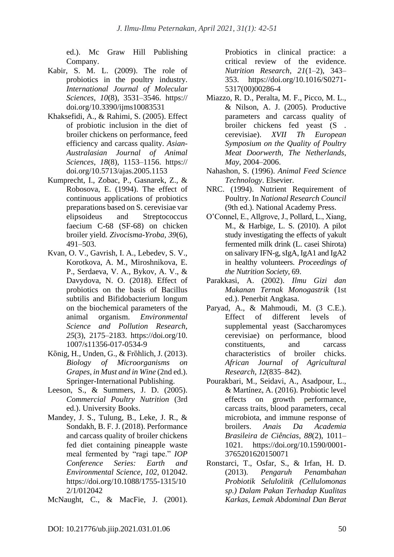ed.). Mc Graw Hill Publishing Company.

- Kabir, S. M. L. (2009). The role of probiotics in the poultry industry. *International Journal of Molecular Sciences*, *10*(8), 3531–3546. https:// doi.org/10.3390/ijms10083531
- Khaksefidi, A., & Rahimi, S. (2005). Effect of probiotic inclusion in the diet of broiler chickens on performance, feed efficiency and carcass quality. *Asian-Australasian Journal of Animal Sciences*, *18*(8), 1153–1156. https:// doi.org/10.5713/ajas.2005.1153
- Kumprecht, I., Zobac, P., Gasnarek, Z., & Robosova, E. (1994). The effect of continuous applications of probiotics preparations based on S. cerevisiae var elipsoideus and Streptococcus faecium C-68 (SF-68) on chicken broiler yield. *Zivocisma-Yroba*, *39*(6), 491–503.
- Kvan, O. V., Gavrish, I. A., Lebedev, S. V., Korotkova, A. M., Miroshnikova, E. P., Serdaeva, V. A., Bykov, A. V., & Davydova, N. O. (2018). Effect of probiotics on the basis of Bacillus subtilis and Bifidobacterium longum on the biochemical parameters of the animal organism. *Environmental Science and Pollution Research*, *25*(3), 2175–2183. https://doi.org/10. 1007/s11356-017-0534-9
- Kὂnig, H., Unden, G., & Frὂhlich, J. (2013). *Biology of Microorganisms on Grapes, in Must and in Wine* (2nd ed.). Springer-International Publishing.
- Leeson, S., & Summers, J. D. (2005). *Commercial Poultry Nutrition* (3rd ed.). University Books.
- Mandey, J. S., Tulung, B., Leke, J. R., & Sondakh, B. F. J. (2018). Performance and carcass quality of broiler chickens fed diet containing pineapple waste meal fermented by "ragi tape." *IOP Conference Series: Earth and Environmental Science*, *102*, 012042. https://doi.org/10.1088/1755-1315/10 2/1/012042
- McNaught, C., & MacFie, J. (2001).

Probiotics in clinical practice: a critical review of the evidence. *Nutrition Research*, *21*(1–2), 343– 353. https://doi.org/10.1016/S0271- 5317(00)00286-4

- Miazzo, R. D., Peralta, M. F., Picco, M. L., & Nilson, A. J. (2005). Productive parameters and carcass quality of broiler chickens fed yeast (S . cerevisiae). *XVII Th European Symposium on the Quality of Poultry Meat Doorwerth, The Netherlands*, *May*, 2004–2006.
- Nahashon, S. (1996). *Animal Feed Science Technology*. Elsevier.
- NRC. (1994). Nutrient Requirement of Poultry. In *National Research Council* (9th ed.). National Academy Press.
- O'Connel, E., Allgrove, J., Pollard, L., Xiang, M., & Harbige, L. S. (2010). A pilot study investigating the effects of yakult fermented milk drink (L. casei Shirota) on salivary IFN-g, sIgA, IgA1 and IgA2 in healthy volunteers. *Proceedings of the Nutrition Society*, 69.
- Parakkasi, A. (2002). *Ilmu Gizi dan Makanan Ternak Monogastrik* (1st ed.). Penerbit Angkasa.
- Paryad, A., & Mahmoudi, M. (3 C.E.). Effect of different levels of supplemental yeast (Saccharomyces cerevisiae) on performance, blood constituents, and carcass characteristics of broiler chicks. *African Journal of Agricultural Research*, *12*(835–842).
- Pourakbari, M., Seidavi, A., Asadpour, L., & Martínez, A. (2016). Probiotic level effects on growth performance, carcass traits, blood parameters, cecal microbiota, and immune response of broilers. *Anais Da Academia Brasileira de Ciências*, *88*(2), 1011– 1021. https://doi.org/10.1590/0001- 3765201620150071
- Ronstarci, T., Osfar, S., & Irfan, H. D. (2013). *Pengaruh Penambahan Probiotik Selulolitik (Cellulomonas sp.) Dalam Pakan Terhadap Kualitas Karkas, Lemak Abdominal Dan Berat*